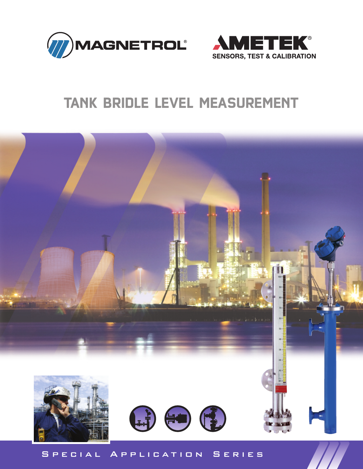



# **TANK BRIDLE LEVEL MEASUREMENT**



# S P E C I A L A P P L I C A T I O N S E R I E S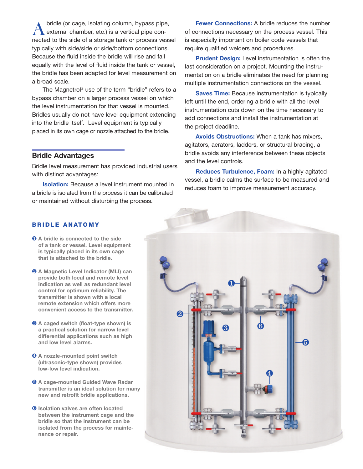bridle (or cage, isolating column, bypass pipe, external chamber, etc.) is a vertical pipe con-A bridle (or cage, isolating column, bypass pipe,<br>external chamber, etc.) is a vertical pipe con-<br>nected to the side of a storage tank or process vessel typically with side/side or side/bottom connections. Because the fluid inside the bridle will rise and fall equally with the level of fluid inside the tank or vessel, the bridle has been adapted for level measurement on a broad scale.

The Magnetrol ® use of the term "bridle" refers to a bypass chamber on a larger process vessel on which the level instrumentation for that vessel is mounted. Bridles usually do not have level equipment extending into the bridle itself. Level equipment is typically placed in its own cage or nozzle attached to the bridle.

## **Bridle Advantages**

Bridle level measurement has provided industrial users with distinct advantages:

**Isolation:** Because a level instrument mounted in a bridle is isolated from the process it can be calibrated or maintained without disturbing the process.

**Fewer Connections:** A bridle reduces the number of connections necessary on the process vessel. This is especially important on boiler code vessels that require qualified welders and procedures.

**Prudent Design:** Level instrumentation is often the last consideration on a project. Mounting the instrumentation on a bridle eliminates the need for planning multiple instrumentation connections on the vessel.

**Saves Time:** Because instrumentation is typically left until the end, ordering a bridle with all the level instrumentation cuts down on the time necessary to add connections and install the instrumentation at the project deadline.

**Avoids Obstructions:** When a tank has mixers, agitators, aerators, ladders, or structural bracing, a bridle avoids any interference between these objects and the level controls.

**Reduces Turbulence, Foam:** In a highly agitated vessel, a bridle calms the surface to be measured and reduces foam to improve measurement accuracy.

#### **B R I D LE A N AT O M Y**

- ❶ **A bridle is connected to the side of a tank or vessel. Level equipment is typically placed in its own cage that is attached to the bridle.**
- ❷ **A Magnetic Level Indicator (MLI) can provide both local and remote level indication as well as redundant level control for optimum reliability. The transmitter is shown with a local remote extension which offers more convenient access to the transmitter.**
- ❸ **A caged switch (float-type shown) is a practical solution for narrow level differential applications such as high and low level alarms.**
- ❹ **A nozzle-mounted point switch (ultrasonic-type shown) provides low-low level indication.**
- ❺ **A cage-mounted Guided Wave Radar transmitter is an ideal solution for many new and retrofit bridle applications.**
- ❻ **Isolation valves are often located between the instrument cage and the bridle so that the instrument can be isolated from the process for maintenance or repair.**

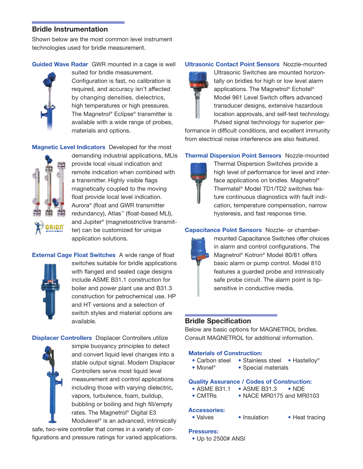# **Bridle Instrumentation**

Shown below are the most common level instrument technologies used for bridle measurement.

# **Guided Wave Radar** GWR mounted in a cage is well



suited for bridle measurement. Configuration is fast, no calibration is required, and accuracy isn't affected by changing densities, dielectrics, high temperatures or high pressures. The Magnetrol ® Eclipse® transmitter is available with a wide range of probes, materials and options.

**Magnetic Level Indicators** Developed for the most



provide local visual indication and remote indication when combined with a transmitter. Highly visible flags magnetically coupled to the moving float provide local level indication. Aurora® (float and GWR transmitter redundancy), Atlas™ (float-based MLI), and Jupiter ® (magnetostrictive transmitter) can be customized for unique application solutions.

demanding industrial applications, MLIs

# **External Cage Float Switches** A wide range of float



switches suitable for bridle applications with flanged and sealed cage designs include ASME B31.1 construction for boiler and power plant use and B31.3 construction for petrochemical use. HP and HT versions and a selection of switch styles and material options are available.

**Displacer Controllers** Displacer Controllers utilize

simple buoyancy principles to detect and convert liquid level changes into a stable output signal. Modern Displacer Controllers serve most liquid level measurement and control applications including those with varying dielectric, vapors, turbulence, foam, buildup, bubbling or boiling and high fill/empty rates. The Magnetrol ® Digital E3 Modulevel ® is an advanced, intrinsically

safe, two-wire controller that comes in a variety of configurations and pressure ratings for varied applications.

#### **Ultrasonic Contact Point Sensors** Nozzle-mounted



Ultrasonic Switches are mounted horizontally on bridles for high or low level alarm applications. The Magnetrol ® Echotel ® Model 961 Level Switch offers advanced transducer designs, extensive hazardous location approvals, and self-test technology. Pulsed signal technology for superior per-

formance in difficult conditions, and excellent immunity from electrical noise interference are also featured.

## **Thermal Dispersion Point Sensors** Nozzle-mounted



Thermal Dispersion Switches provide a high level of performance for level and interface applications on bridles. Magnetrol ® Thermatel ® Model TD1/TD2 switches feature continuous diagnostics with fault indication, temperature compensation, narrow hysteresis, and fast response time.

## **Capacitance Point Sensors** Nozzle- or chamber-



mounted Capacitance Switches offer choices in alarm and control configurations. The Magnetrol ® Kotron® Model 80/81 offers basic alarm or pump control. Model 810 features a guarded probe and intrinsically safe probe circuit. The alarm point is tipsensitive in conductive media.

# **Bridle Specification**

Below are basic options for MAGNETROL bridles. Consult MAGNETROL for additional information.

#### **Materials of Construction:**

- Carbon steel Stainless steel Hastelloy®
- Monel<sup>®</sup> • Special materials

#### **Quality Assurance / Codes of Construction:**

- ASME B31.1 ASME B31.3 NDE
- CMTRs NACE MR0175 and MR0103

## **Accessories:**

• Valves • Insulation • Heat tracing

#### **Pressures:**

• Up to 2500# ANSI